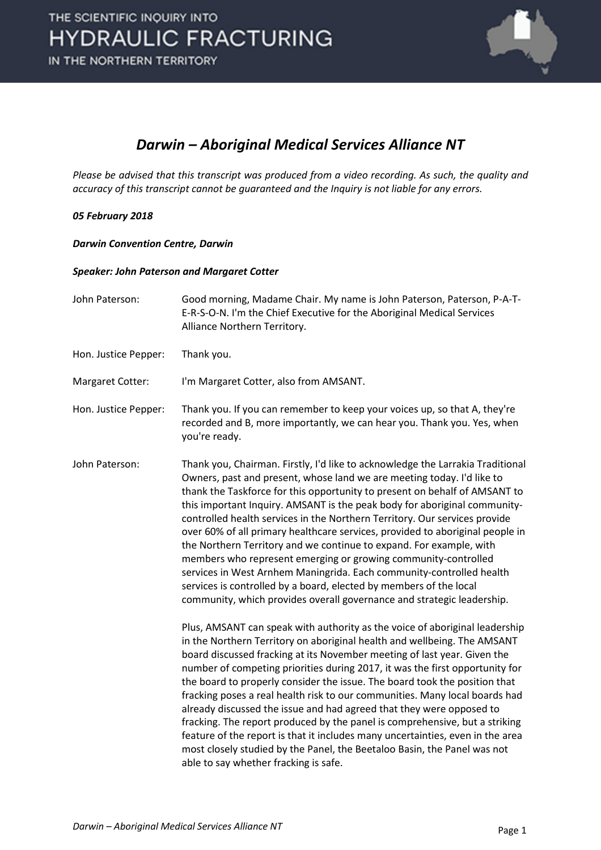

## *Darwin – Aboriginal Medical Services Alliance NT*

*Please be advised that this transcript was produced from a video recording. As such, the quality and accuracy of this transcript cannot be guaranteed and the Inquiry is not liable for any errors.*

## *05 February 2018*

*Darwin Convention Centre, Darwin* 

## *Speaker: John Paterson and Margaret Cotter*

| John Paterson:       | Good morning, Madame Chair. My name is John Paterson, Paterson, P-A-T-<br>E-R-S-O-N. I'm the Chief Executive for the Aboriginal Medical Services<br>Alliance Northern Territory.                                                                                                                                                                                                                                                                                                                                                                                                                                                                                                                                                                                                                                                                    |
|----------------------|-----------------------------------------------------------------------------------------------------------------------------------------------------------------------------------------------------------------------------------------------------------------------------------------------------------------------------------------------------------------------------------------------------------------------------------------------------------------------------------------------------------------------------------------------------------------------------------------------------------------------------------------------------------------------------------------------------------------------------------------------------------------------------------------------------------------------------------------------------|
| Hon. Justice Pepper: | Thank you.                                                                                                                                                                                                                                                                                                                                                                                                                                                                                                                                                                                                                                                                                                                                                                                                                                          |
| Margaret Cotter:     | I'm Margaret Cotter, also from AMSANT.                                                                                                                                                                                                                                                                                                                                                                                                                                                                                                                                                                                                                                                                                                                                                                                                              |
| Hon. Justice Pepper: | Thank you. If you can remember to keep your voices up, so that A, they're<br>recorded and B, more importantly, we can hear you. Thank you. Yes, when<br>you're ready.                                                                                                                                                                                                                                                                                                                                                                                                                                                                                                                                                                                                                                                                               |
| John Paterson:       | Thank you, Chairman. Firstly, I'd like to acknowledge the Larrakia Traditional<br>Owners, past and present, whose land we are meeting today. I'd like to<br>thank the Taskforce for this opportunity to present on behalf of AMSANT to<br>this important Inquiry. AMSANT is the peak body for aboriginal community-<br>controlled health services in the Northern Territory. Our services provide<br>over 60% of all primary healthcare services, provided to aboriginal people in<br>the Northern Territory and we continue to expand. For example, with<br>members who represent emerging or growing community-controlled<br>services in West Arnhem Maningrida. Each community-controlled health<br>services is controlled by a board, elected by members of the local<br>community, which provides overall governance and strategic leadership. |
|                      | Plus, AMSANT can speak with authority as the voice of aboriginal leadership<br>in the Northern Territory on aboriginal health and wellbeing. The AMSANT<br>board discussed fracking at its November meeting of last year. Given the<br>number of competing priorities during 2017, it was the first opportunity for<br>the board to properly consider the issue. The board took the position that<br>fracking poses a real health risk to our communities. Many local boards had<br>already discussed the issue and had agreed that they were opposed to<br>fracking. The report produced by the panel is comprehensive, but a striking<br>feature of the report is that it includes many uncertainties, even in the area<br>most closely studied by the Panel, the Beetaloo Basin, the Panel was not<br>able to say whether fracking is safe.      |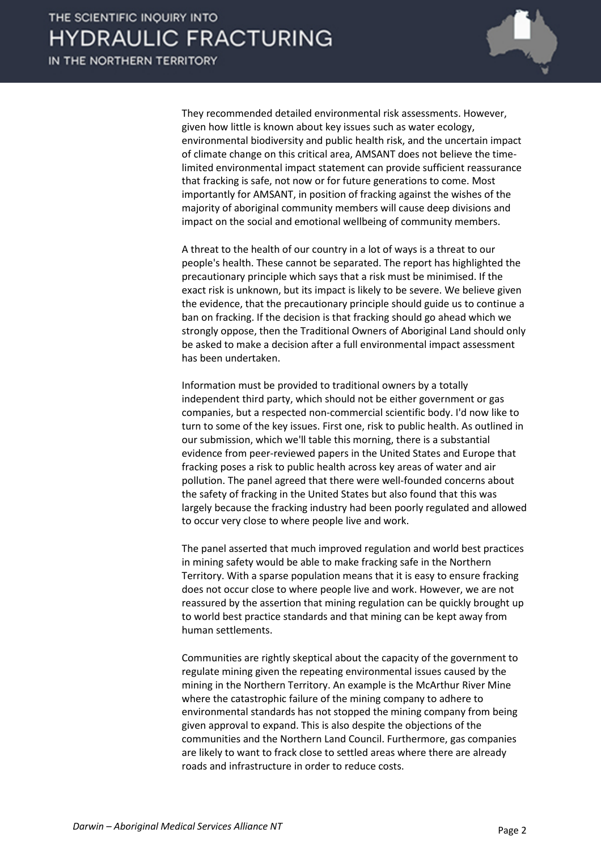

They recommended detailed environmental risk assessments. However, given how little is known about key issues such as water ecology, environmental biodiversity and public health risk, and the uncertain impact of climate change on this critical area, AMSANT does not believe the timelimited environmental impact statement can provide sufficient reassurance that fracking is safe, not now or for future generations to come. Most importantly for AMSANT, in position of fracking against the wishes of the majority of aboriginal community members will cause deep divisions and impact on the social and emotional wellbeing of community members.

A threat to the health of our country in a lot of ways is a threat to our people's health. These cannot be separated. The report has highlighted the precautionary principle which says that a risk must be minimised. If the exact risk is unknown, but its impact is likely to be severe. We believe given the evidence, that the precautionary principle should guide us to continue a ban on fracking. If the decision is that fracking should go ahead which we strongly oppose, then the Traditional Owners of Aboriginal Land should only be asked to make a decision after a full environmental impact assessment has been undertaken.

Information must be provided to traditional owners by a totally independent third party, which should not be either government or gas companies, but a respected non-commercial scientific body. I'd now like to turn to some of the key issues. First one, risk to public health. As outlined in our submission, which we'll table this morning, there is a substantial evidence from peer-reviewed papers in the United States and Europe that fracking poses a risk to public health across key areas of water and air pollution. The panel agreed that there were well-founded concerns about the safety of fracking in the United States but also found that this was largely because the fracking industry had been poorly regulated and allowed to occur very close to where people live and work.

The panel asserted that much improved regulation and world best practices in mining safety would be able to make fracking safe in the Northern Territory. With a sparse population means that it is easy to ensure fracking does not occur close to where people live and work. However, we are not reassured by the assertion that mining regulation can be quickly brought up to world best practice standards and that mining can be kept away from human settlements.

Communities are rightly skeptical about the capacity of the government to regulate mining given the repeating environmental issues caused by the mining in the Northern Territory. An example is the McArthur River Mine where the catastrophic failure of the mining company to adhere to environmental standards has not stopped the mining company from being given approval to expand. This is also despite the objections of the communities and the Northern Land Council. Furthermore, gas companies are likely to want to frack close to settled areas where there are already roads and infrastructure in order to reduce costs.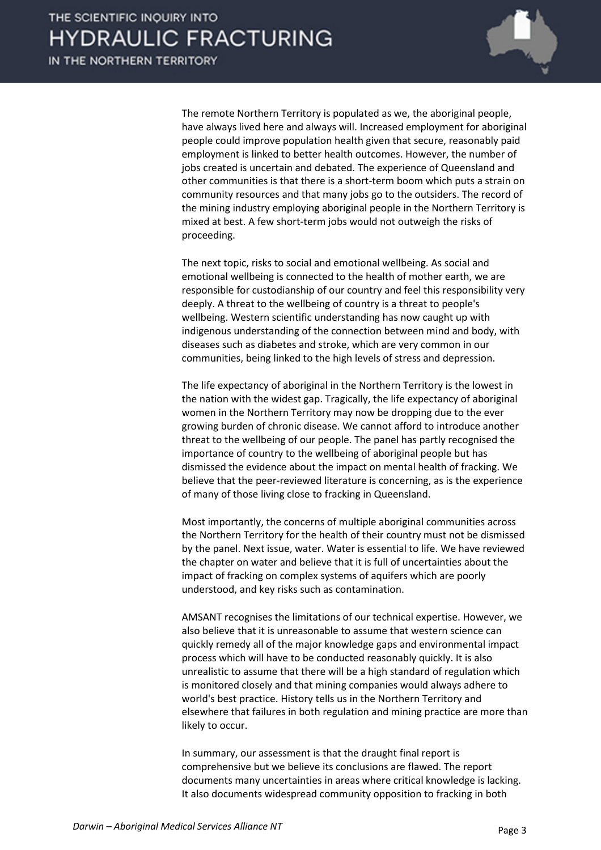

The remote Northern Territory is populated as we, the aboriginal people, have always lived here and always will. Increased employment for aboriginal people could improve population health given that secure, reasonably paid employment is linked to better health outcomes. However, the number of jobs created is uncertain and debated. The experience of Queensland and other communities is that there is a short-term boom which puts a strain on community resources and that many jobs go to the outsiders. The record of the mining industry employing aboriginal people in the Northern Territory is mixed at best. A few short-term jobs would not outweigh the risks of proceeding.

The next topic, risks to social and emotional wellbeing. As social and emotional wellbeing is connected to the health of mother earth, we are responsible for custodianship of our country and feel this responsibility very deeply. A threat to the wellbeing of country is a threat to people's wellbeing. Western scientific understanding has now caught up with indigenous understanding of the connection between mind and body, with diseases such as diabetes and stroke, which are very common in our communities, being linked to the high levels of stress and depression.

The life expectancy of aboriginal in the Northern Territory is the lowest in the nation with the widest gap. Tragically, the life expectancy of aboriginal women in the Northern Territory may now be dropping due to the ever growing burden of chronic disease. We cannot afford to introduce another threat to the wellbeing of our people. The panel has partly recognised the importance of country to the wellbeing of aboriginal people but has dismissed the evidence about the impact on mental health of fracking. We believe that the peer-reviewed literature is concerning, as is the experience of many of those living close to fracking in Queensland.

Most importantly, the concerns of multiple aboriginal communities across the Northern Territory for the health of their country must not be dismissed by the panel. Next issue, water. Water is essential to life. We have reviewed the chapter on water and believe that it is full of uncertainties about the impact of fracking on complex systems of aquifers which are poorly understood, and key risks such as contamination.

AMSANT recognises the limitations of our technical expertise. However, we also believe that it is unreasonable to assume that western science can quickly remedy all of the major knowledge gaps and environmental impact process which will have to be conducted reasonably quickly. It is also unrealistic to assume that there will be a high standard of regulation which is monitored closely and that mining companies would always adhere to world's best practice. History tells us in the Northern Territory and elsewhere that failures in both regulation and mining practice are more than likely to occur.

In summary, our assessment is that the draught final report is comprehensive but we believe its conclusions are flawed. The report documents many uncertainties in areas where critical knowledge is lacking. It also documents widespread community opposition to fracking in both